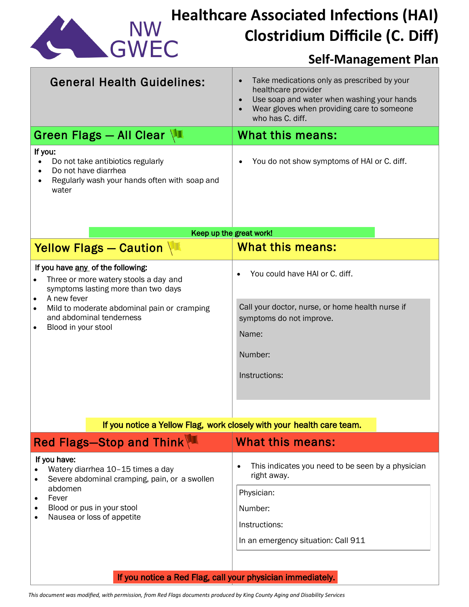

# Healthcare Associated Infections (HAI)<br>CONEC CONEC Solf-Management Plat **Clostridium Difficile (C. Diff)**

## **Self-Management Plan**

| <b>General Health Guidelines:</b>                                                                                                                                                                                                                                                      | Take medications only as prescribed by your<br>$\bullet$<br>healthcare provider<br>Use soap and water when washing your hands<br>$\bullet$<br>Wear gloves when providing care to someone<br>$\bullet$<br>who has C. diff. |
|----------------------------------------------------------------------------------------------------------------------------------------------------------------------------------------------------------------------------------------------------------------------------------------|---------------------------------------------------------------------------------------------------------------------------------------------------------------------------------------------------------------------------|
| Green Flags - All Clear $\sqrt{1}$                                                                                                                                                                                                                                                     | What this means:                                                                                                                                                                                                          |
| If you:<br>Do not take antibiotics regularly<br>$\bullet$<br>Do not have diarrhea<br>$\bullet$<br>Regularly wash your hands often with soap and<br>$\bullet$<br>water                                                                                                                  | You do not show symptoms of HAI or C. diff.                                                                                                                                                                               |
| Keep up the great work!                                                                                                                                                                                                                                                                |                                                                                                                                                                                                                           |
| Yellow Flags - Caution                                                                                                                                                                                                                                                                 | What this means:                                                                                                                                                                                                          |
| If you have any of the following:<br>Three or more watery stools a day and<br>$\bullet$<br>symptoms lasting more than two days<br>A new fever<br>$\bullet$<br>Mild to moderate abdominal pain or cramping<br>$\bullet$<br>and abdominal tenderness<br>Blood in your stool<br>$\bullet$ | You could have HAI or C. diff.<br>Call your doctor, nurse, or home health nurse if<br>symptoms do not improve.<br>Name:<br>Number:<br>Instructions:                                                                       |
| If you notice a Yellow Flag, work closely with your health care team.                                                                                                                                                                                                                  |                                                                                                                                                                                                                           |
| Red Flags-Stop and Think                                                                                                                                                                                                                                                               | What this means:                                                                                                                                                                                                          |
| If you have:<br>Watery diarrhea 10-15 times a day<br>Severe abdominal cramping, pain, or a swollen<br>abdomen<br>Fever<br>Blood or pus in your stool<br>$\bullet$<br>Nausea or loss of appetite                                                                                        | This indicates you need to be seen by a physician<br>$\bullet$<br>right away.<br>Physician:<br>Number:<br>Instructions:<br>In an emergency situation: Call 911                                                            |
| If you notice a Red Flag, call your physician immediately.                                                                                                                                                                                                                             |                                                                                                                                                                                                                           |

*This document was modified, with permission, from Red Flags documents produced by King County Aging and Disability Services*